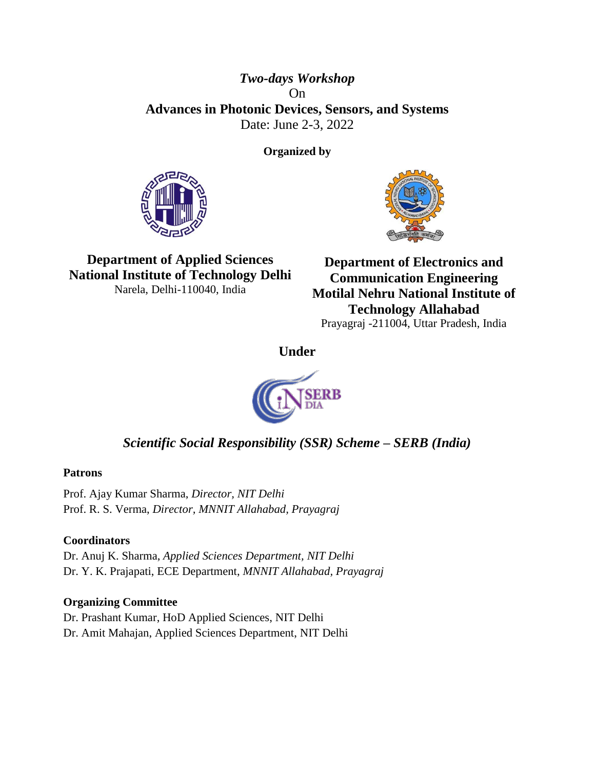## *Two-days Workshop* On **Advances in Photonic Devices, Sensors, and Systems** Date: June 2-3, 2022

**Organized by**





**Department of Applied Sciences National Institute of Technology Delhi** Narela, Delhi-110040, India

**Department of Electronics and Communication Engineering Motilal Nehru National Institute of Technology Allahabad** Prayagraj -211004, Uttar Pradesh, India

**Under**



# *Scientific Social Responsibility (SSR) Scheme – SERB (India)*

### **Patrons**

Prof. Ajay Kumar Sharma, *Director, NIT Delhi* Prof. R. S. Verma, *Director, MNNIT Allahabad, Prayagraj*

## **Coordinators**

Dr. Anuj K. Sharma, *Applied Sciences Department, NIT Delhi* Dr. Y. K. Prajapati, ECE Department, *MNNIT Allahabad, Prayagraj*

## **Organizing Committee**

Dr. Prashant Kumar, HoD Applied Sciences, NIT Delhi Dr. Amit Mahajan, Applied Sciences Department, NIT Delhi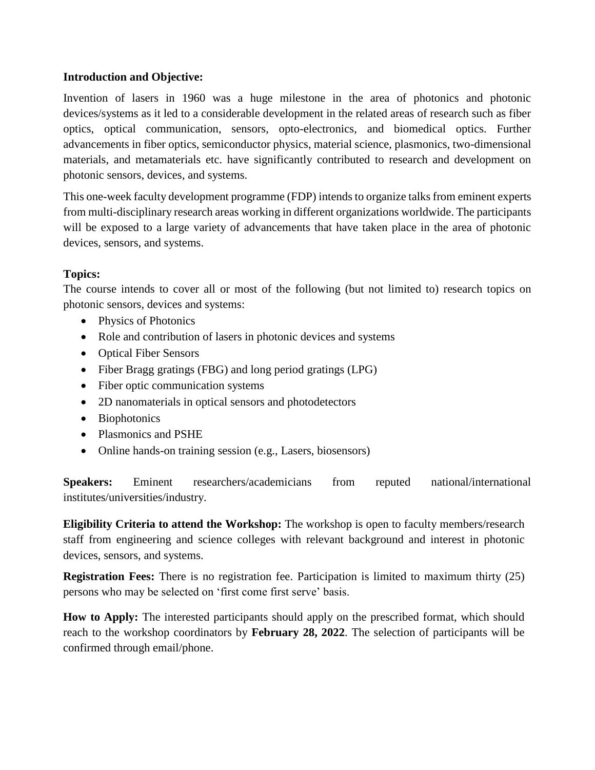#### **Introduction and Objective:**

Invention of lasers in 1960 was a huge milestone in the area of photonics and photonic devices/systems as it led to a considerable development in the related areas of research such as fiber optics, optical communication, sensors, opto-electronics, and biomedical optics. Further advancements in fiber optics, semiconductor physics, material science, plasmonics, two-dimensional materials, and metamaterials etc. have significantly contributed to research and development on photonic sensors, devices, and systems.

This one-week faculty development programme (FDP) intends to organize talks from eminent experts from multi-disciplinary research areas working in different organizations worldwide. The participants will be exposed to a large variety of advancements that have taken place in the area of photonic devices, sensors, and systems.

### **Topics:**

The course intends to cover all or most of the following (but not limited to) research topics on photonic sensors, devices and systems:

- Physics of Photonics
- Role and contribution of lasers in photonic devices and systems
- Optical Fiber Sensors
- Fiber Bragg gratings (FBG) and long period gratings (LPG)
- Fiber optic communication systems
- 2D nanomaterials in optical sensors and photodetectors
- Biophotonics
- Plasmonics and PSHE
- Online hands-on training session (e.g., Lasers, biosensors)

**Speakers:** Eminent researchers/academicians from reputed national/international institutes/universities/industry.

**Eligibility Criteria to attend the Workshop:** The workshop is open to faculty members/research staff from engineering and science colleges with relevant background and interest in photonic devices, sensors, and systems.

**Registration Fees:** There is no registration fee. Participation is limited to maximum thirty (25) persons who may be selected on 'first come first serve' basis.

**How to Apply:** The interested participants should apply on the prescribed format, which should reach to the workshop coordinators by **February 28, 2022**. The selection of participants will be confirmed through email/phone.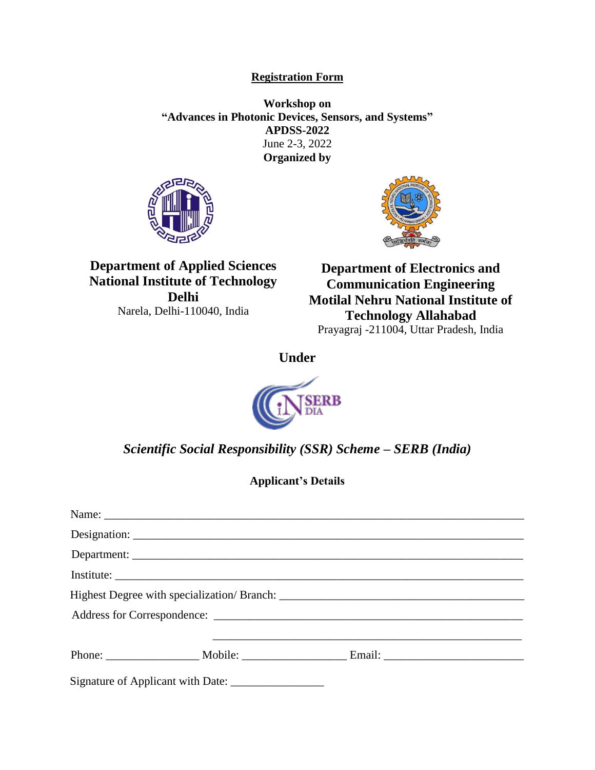#### **Registration Form**

**Workshop on "Advances in Photonic Devices, Sensors, and Systems" APDSS-2022** June 2-3, 2022 **Organized by**





**Department of Applied Sciences National Institute of Technology Delhi** Narela, Delhi-110040, India

**Department of Electronics and Communication Engineering Motilal Nehru National Institute of Technology Allahabad** Prayagraj -211004, Uttar Pradesh, India

**Under**



*Scientific Social Responsibility (SSR) Scheme – SERB (India)*

**Applicant's Details**